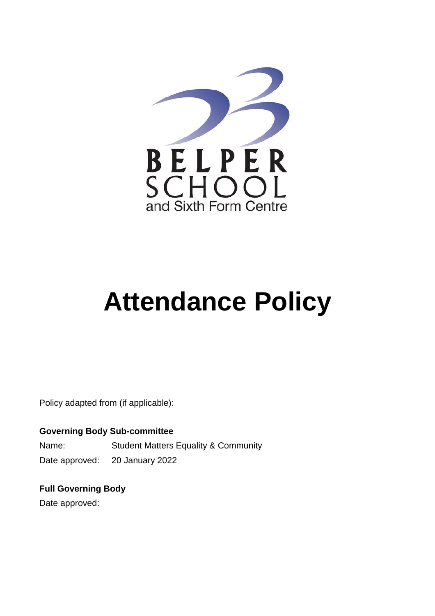

# **Attendance Policy**

Policy adapted from (if applicable):

**Governing Body Sub-committee** Name: Student Matters Equality & Community Date approved: 20 January 2022

**Full Governing Body**

Date approved: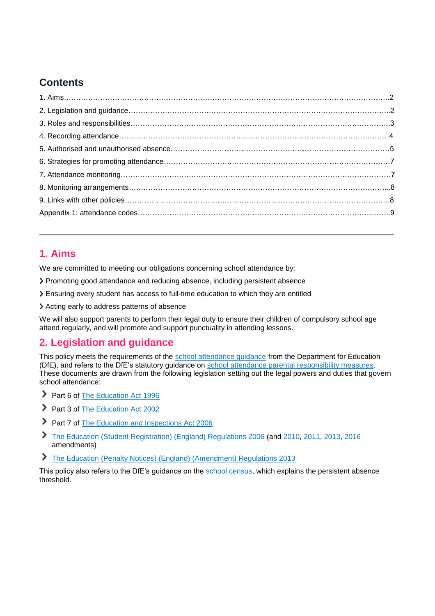# **Contents**

## **1. Aims**

We are committed to meeting our obligations concerning school attendance by:

- Promoting good attendance and reducing absence, including persistent absence
- Ensuring every student has access to full-time education to which they are entitled
- Acting early to address patterns of absence

We will also support parents to perform their legal duty to ensure their children of compulsory school age attend regularly, and will promote and support punctuality in attending lessons.

## **2. Legislation and guidance**

This policy meets the requirements of the [school attendance guidance](https://www.gov.uk/government/publications/school-attendance) from the Department for Education (DfE), and refers to the DfE's statutory guidance on [school attendance parental responsibility measures.](https://www.gov.uk/government/publications/parental-responsibility-measures-for-behaviour-and-attendance) These documents are drawn from the following legislation setting out the legal powers and duties that govern school attendance:

- Part 6 of [The Education Act 1996](https://www.legislation.gov.uk/ukpga/1996/56/part/VI/chapter/II)
- Part 3 of [The Education Act 2002](http://www.legislation.gov.uk/ukpga/2002/32/part/3/chapter/3)
- Part 7 of [The Education and Inspections Act 2006](http://www.legislation.gov.uk/ukpga/2006/40/part/7/chapter/2/crossheading/school-attendance)
- The Education (Student [Registration\) \(England\) Regulations 2006](http://www.legislation.gov.uk/uksi/2006/1751/contents/made) (and [2010,](https://www.legislation.gov.uk/uksi/2010/1725/regulation/2/made) [2011,](https://www.legislation.gov.uk/uksi/2011/1625/made) [2013,](https://www.legislation.gov.uk/uksi/2013/756/made) [2016](https://www.legislation.gov.uk/uksi/2016/792/made/data.html) amendments)
- [The Education \(Penalty Notices\) \(England\) \(Amendment\) Regulations 2013](https://www.legislation.gov.uk/uksi/2013/757/regulation/2/made)

This policy also refers to the DfE's guidance on the [school census,](https://www.gov.uk/guidance/complete-the-school-census) which explains the persistent absence threshold.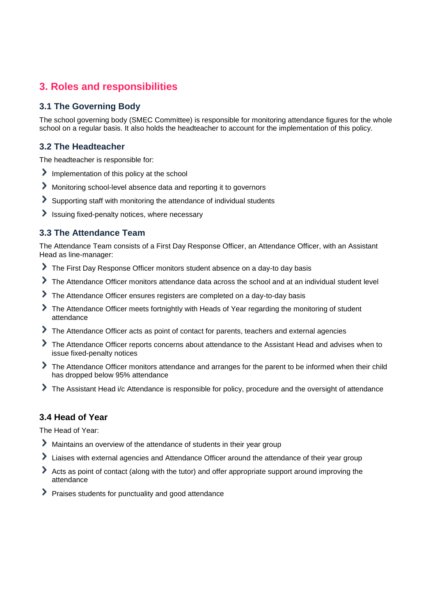# **3. Roles and responsibilities**

## **3.1 The Governing Body**

The school governing body (SMEC Committee) is responsible for monitoring attendance figures for the whole school on a regular basis. It also holds the headteacher to account for the implementation of this policy.

#### **3.2 The Headteacher**

The headteacher is responsible for:

- Implementation of this policy at the school
- Monitoring school-level absence data and reporting it to governors
- Supporting staff with monitoring the attendance of individual students
- Issuing fixed-penalty notices, where necessary

#### **3.3 The Attendance Team**

The Attendance Team consists of a First Day Response Officer, an Attendance Officer, with an Assistant Head as line-manager:

- The First Day Response Officer monitors student absence on a day-to day basis
- The Attendance Officer monitors attendance data across the school and at an individual student level
- The Attendance Officer ensures registers are completed on a day-to-day basis
- The Attendance Officer meets fortnightly with Heads of Year regarding the monitoring of student attendance
- The Attendance Officer acts as point of contact for parents, teachers and external agencies
- The Attendance Officer reports concerns about attendance to the Assistant Head and advises when to issue fixed-penalty notices
- The Attendance Officer monitors attendance and arranges for the parent to be informed when their child has dropped below 95% attendance
- The Assistant Head i/c Attendance is responsible for policy, procedure and the oversight of attendance

#### **3.4 Head of Year**

The Head of Year:

- Maintains an overview of the attendance of students in their year group
- I Liaises with external agencies and Attendance Officer around the attendance of their year group
- Acts as point of contact (along with the tutor) and offer appropriate support around improving the attendance
- Praises students for punctuality and good attendance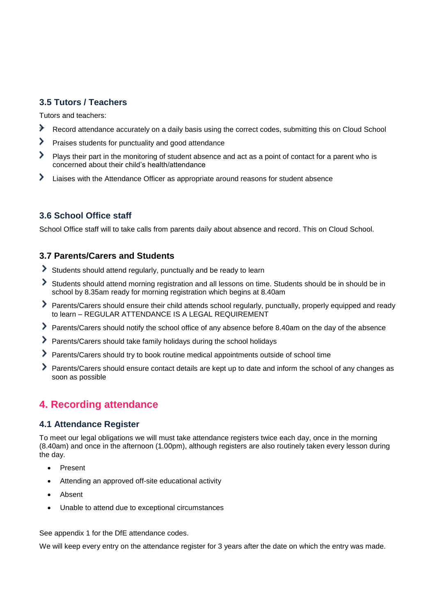## **3.5 Tutors / Teachers**

Tutors and teachers:

- ゝ Record attendance accurately on a daily basis using the correct codes, submitting this on Cloud School
- > Praises students for punctuality and good attendance
- > Plays their part in the monitoring of student absence and act as a point of contact for a parent who is concerned about their child's health/attendance
- ⋗ Liaises with the Attendance Officer as appropriate around reasons for student absence

## **3.6 School Office staff**

School Office staff will to take calls from parents daily about absence and record. This on Cloud School.

## **3.7 Parents/Carers and Students**

- Students should attend regularly, punctually and be ready to learn
- Students should attend morning registration and all lessons on time. Students should be in should be in school by 8.35am ready for morning registration which begins at 8.40am
- Parents/Carers should ensure their child attends school regularly, punctually, properly equipped and ready to learn – REGULAR ATTENDANCE IS A LEGAL REQUIREMENT
- Parents/Carers should notify the school office of any absence before 8.40am on the day of the absence
- Parents/Carers should take family holidays during the school holidays
- Parents/Carers should try to book routine medical appointments outside of school time
- Parents/Carers should ensure contact details are kept up to date and inform the school of any changes as soon as possible

# **4. Recording attendance**

#### **4.1 Attendance Register**

To meet our legal obligations we will must take attendance registers twice each day, once in the morning (8.40am) and once in the afternoon (1.00pm), although registers are also routinely taken every lesson during the day.

- Present
- Attending an approved off-site educational activity
- Absent
- Unable to attend due to exceptional circumstances

See appendix 1 for the DfE attendance codes.

We will keep every entry on the attendance register for 3 years after the date on which the entry was made.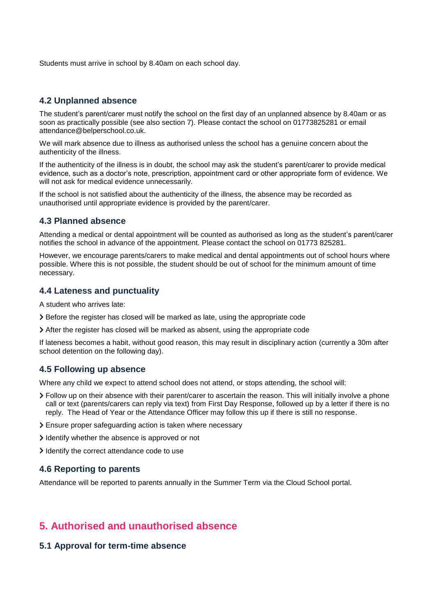Students must arrive in school by 8.40am on each school day.

#### **4.2 Unplanned absence**

The student's parent/carer must notify the school on the first day of an unplanned absence by 8.40am or as soon as practically possible (see also section 7). Please contact the school on 01773825281 or email attendance@belperschool.co.uk.

We will mark absence due to illness as authorised unless the school has a genuine concern about the authenticity of the illness.

If the authenticity of the illness is in doubt, the school may ask the student's parent/carer to provide medical evidence, such as a doctor's note, prescription, appointment card or other appropriate form of evidence. We will not ask for medical evidence unnecessarily.

If the school is not satisfied about the authenticity of the illness, the absence may be recorded as unauthorised until appropriate evidence is provided by the parent/carer.

#### **4.3 Planned absence**

Attending a medical or dental appointment will be counted as authorised as long as the student's parent/carer notifies the school in advance of the appointment. Please contact the school on 01773 825281.

However, we encourage parents/carers to make medical and dental appointments out of school hours where possible. Where this is not possible, the student should be out of school for the minimum amount of time necessary.

#### **4.4 Lateness and punctuality**

A student who arrives late:

- Before the register has closed will be marked as late, using the appropriate code
- After the register has closed will be marked as absent, using the appropriate code

If lateness becomes a habit, without good reason, this may result in disciplinary action (currently a 30m after school detention on the following day).

#### **4.5 Following up absence**

Where any child we expect to attend school does not attend, or stops attending, the school will:

- Follow up on their absence with their parent/carer to ascertain the reason. This will initially involve a phone call or text (parents/carers can reply via text) from First Day Response, followed up by a letter if there is no reply. The Head of Year or the Attendance Officer may follow this up if there is still no response.
- Ensure proper safeguarding action is taken where necessary
- I dentify whether the absence is approved or not
- I dentify the correct attendance code to use

#### **4.6 Reporting to parents**

Attendance will be reported to parents annually in the Summer Term via the Cloud School portal.

## **5. Authorised and unauthorised absence**

#### **5.1 Approval for term-time absence**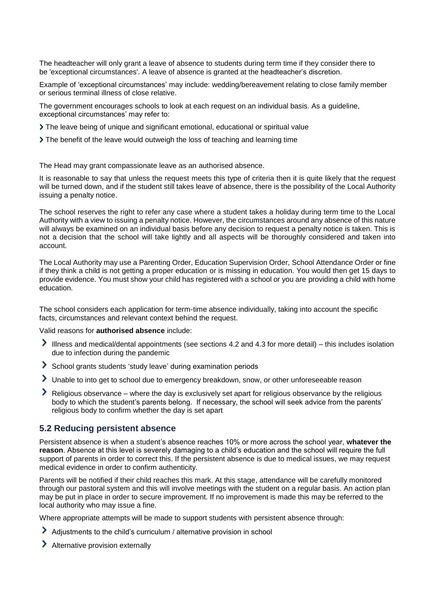The headteacher will only grant a leave of absence to students during term time if they consider there to be 'exceptional circumstances'. A leave of absence is granted at the headteacher's discretion.

Example of 'exceptional circumstances' may include: wedding/bereavement relating to close family member or serious terminal illness of close relative.

The government encourages schools to look at each request on an individual basis. As a guideline, exceptional circumstances' may refer to:

- The leave being of unique and significant emotional, educational or spiritual value
- The benefit of the leave would outweigh the loss of teaching and learning time

The Head may grant compassionate leave as an authorised absence.

It is reasonable to say that unless the request meets this type of criteria then it is quite likely that the request will be turned down, and if the student still takes leave of absence, there is the possibility of the Local Authority issuing a penalty notice.

The school reserves the right to refer any case where a student takes a holiday during term time to the Local Authority with a view to issuing a penalty notice. However, the circumstances around any absence of this nature will always be examined on an individual basis before any decision to request a penalty notice is taken. This is not a decision that the school will take lightly and all aspects will be thoroughly considered and taken into account.

The Local Authority may use a Parenting Order, Education Supervision Order, School Attendance Order or fine if they think a child is not getting a proper education or is missing in education. You would then get 15 days to provide evidence. You must show your child has registered with a school or you are providing a child with home education.

The school considers each application for term-time absence individually, taking into account the specific facts, circumstances and relevant context behind the request.

Valid reasons for **authorised absence** include:

- Illness and medical/dental appointments (see sections 4.2 and 4.3 for more detail) this includes isolation due to infection during the pandemic
- School grants students 'study leave' during examination periods
- Unable to into get to school due to emergency breakdown, snow, or other unforeseeable reason
- Religious observance where the day is exclusively set apart for religious observance by the religious body to which the student's parents belong. If necessary, the school will seek advice from the parents' religious body to confirm whether the day is set apart

#### **5.2 Reducing persistent absence**

Persistent absence is when a student's absence reaches 10% or more across the school year, **whatever the reason**. Absence at this level is severely damaging to a child's education and the school will require the full support of parents in order to correct this. If the persistent absence is due to medical issues, we may request medical evidence in order to confirm authenticity.

Parents will be notified if their child reaches this mark. At this stage, attendance will be carefully monitored through our pastoral system and this will involve meetings with the student on a regular basis. An action plan may be put in place in order to secure improvement. If no improvement is made this may be referred to the local authority who may issue a fine.

Where appropriate attempts will be made to support students with persistent absence through:

- Adjustments to the child's curriculum / alternative provision in school
- > Alternative provision externally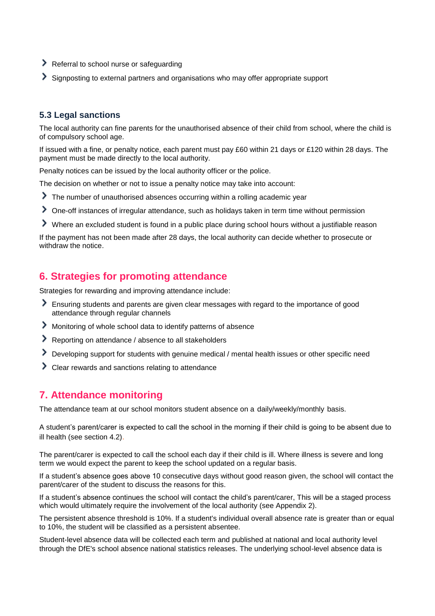- Referral to school nurse or safeguarding
- Signposting to external partners and organisations who may offer appropriate support

### **5.3 Legal sanctions**

The local authority can fine parents for the unauthorised absence of their child from school, where the child is of compulsory school age.

If issued with a fine, or penalty notice, each parent must pay £60 within 21 days or £120 within 28 days. The payment must be made directly to the local authority.

Penalty notices can be issued by the local authority officer or the police.

The decision on whether or not to issue a penalty notice may take into account:

- The number of unauthorised absences occurring within a rolling academic year
- One-off instances of irregular attendance, such as holidays taken in term time without permission
- Where an excluded student is found in a public place during school hours without a justifiable reason

If the payment has not been made after 28 days, the local authority can decide whether to prosecute or withdraw the notice.

# **6. Strategies for promoting attendance**

Strategies for rewarding and improving attendance include:

- Ensuring students and parents are given clear messages with regard to the importance of good attendance through regular channels
- Monitoring of whole school data to identify patterns of absence
- Reporting on attendance / absence to all stakeholders
- Developing support for students with genuine medical / mental health issues or other specific need
- Clear rewards and sanctions relating to attendance

## **7. Attendance monitoring**

The attendance team at our school monitors student absence on a daily/weekly/monthly basis.

A student's parent/carer is expected to call the school in the morning if their child is going to be absent due to ill health (see section 4.2).

The parent/carer is expected to call the school each day if their child is ill. Where illness is severe and long term we would expect the parent to keep the school updated on a regular basis.

If a student's absence goes above 10 consecutive days without good reason given, the school will contact the parent/carer of the student to discuss the reasons for this.

If a student's absence continues the school will contact the child's parent/carer, This will be a staged process which would ultimately require the involvement of the local authority (see Appendix 2).

The persistent absence threshold is 10%. If a student's individual overall absence rate is greater than or equal to 10%, the student will be classified as a persistent absentee.

Student-level absence data will be collected each term and published at national and local authority level through the DfE's school absence national statistics releases. The underlying school-level absence data is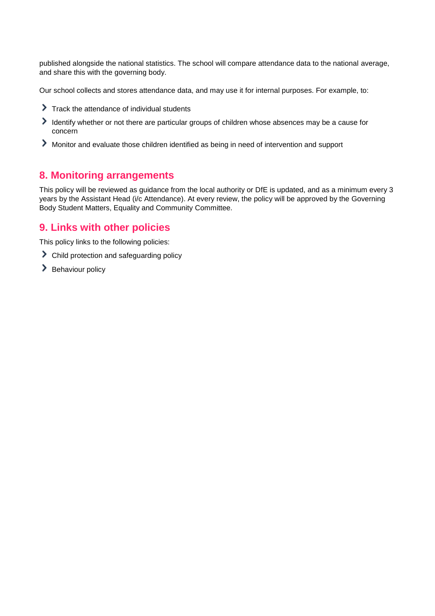published alongside the national statistics. The school will compare attendance data to the national average, and share this with the governing body.

Our school collects and stores attendance data, and may use it for internal purposes. For example, to:

- Track the attendance of individual students
- Identify whether or not there are particular groups of children whose absences may be a cause for concern
- Monitor and evaluate those children identified as being in need of intervention and support

## **8. Monitoring arrangements**

This policy will be reviewed as guidance from the local authority or DfE is updated, and as a minimum every 3 years by the Assistant Head (i/c Attendance). At every review, the policy will be approved by the Governing Body Student Matters, Equality and Community Committee.

## **9. Links with other policies**

This policy links to the following policies:

- Child protection and safeguarding policy
- > Behaviour policy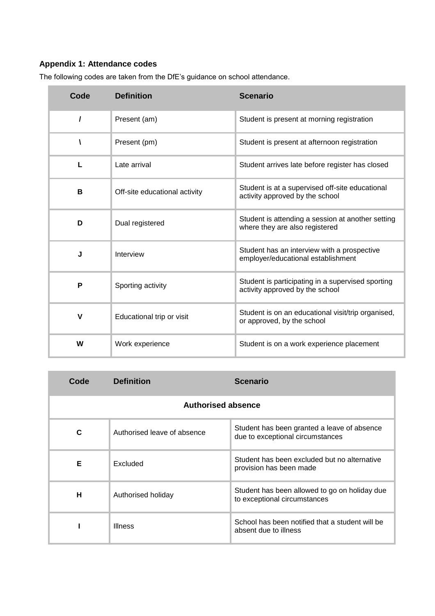# **Appendix 1: Attendance codes**

| Code        | <b>Definition</b>             | <b>Scenario</b>                                                                      |
|-------------|-------------------------------|--------------------------------------------------------------------------------------|
|             | Present (am)                  | Student is present at morning registration                                           |
|             | Present (pm)                  | Student is present at afternoon registration                                         |
| L           | Late arrival                  | Student arrives late before register has closed                                      |
| В           | Off-site educational activity | Student is at a supervised off-site educational<br>activity approved by the school   |
| D           | Dual registered               | Student is attending a session at another setting<br>where they are also registered  |
| J           | Interview                     | Student has an interview with a prospective<br>employer/educational establishment    |
| P           | Sporting activity             | Student is participating in a supervised sporting<br>activity approved by the school |
| $\mathbf v$ | Educational trip or visit     | Student is on an educational visit/trip organised,<br>or approved, by the school     |
| W           | Work experience               | Student is on a work experience placement                                            |

The following codes are taken from the DfE's guidance on school attendance.

| Code                      | <b>Definition</b>           | <b>Scenario</b>                                                                 |  |
|---------------------------|-----------------------------|---------------------------------------------------------------------------------|--|
| <b>Authorised absence</b> |                             |                                                                                 |  |
| C                         | Authorised leave of absence | Student has been granted a leave of absence<br>due to exceptional circumstances |  |
| Е                         | Excluded                    | Student has been excluded but no alternative<br>provision has been made         |  |
| н                         | Authorised holiday          | Student has been allowed to go on holiday due<br>to exceptional circumstances   |  |
|                           | <b>Illness</b>              | School has been notified that a student will be<br>absent due to illness        |  |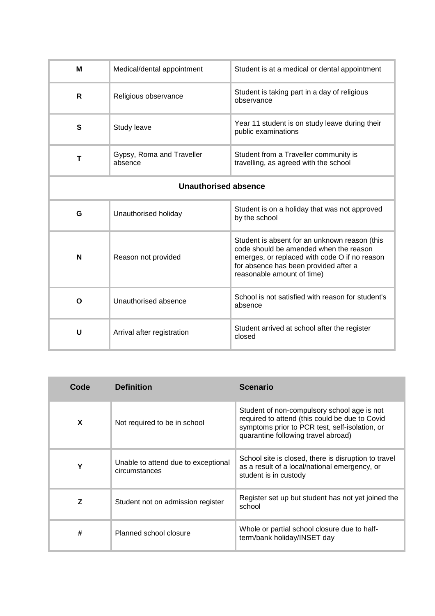| M                           | Medical/dental appointment           | Student is at a medical or dental appointment                                                                                                                                                                   |
|-----------------------------|--------------------------------------|-----------------------------------------------------------------------------------------------------------------------------------------------------------------------------------------------------------------|
| R                           | Religious observance                 | Student is taking part in a day of religious<br>observance                                                                                                                                                      |
| S                           | Study leave                          | Year 11 student is on study leave during their<br>public examinations                                                                                                                                           |
| Т                           | Gypsy, Roma and Traveller<br>absence | Student from a Traveller community is<br>travelling, as agreed with the school                                                                                                                                  |
| <b>Unauthorised absence</b> |                                      |                                                                                                                                                                                                                 |
| G                           | Unauthorised holiday                 | Student is on a holiday that was not approved<br>by the school                                                                                                                                                  |
| N                           | Reason not provided                  | Student is absent for an unknown reason (this<br>code should be amended when the reason<br>emerges, or replaced with code O if no reason<br>for absence has been provided after a<br>reasonable amount of time) |
| O                           | Unauthorised absence                 | School is not satisfied with reason for student's<br>absence                                                                                                                                                    |
| U                           | Arrival after registration           | Student arrived at school after the register<br>closed                                                                                                                                                          |

| Code | <b>Definition</b>                                    | <b>Scenario</b>                                                                                                                                                                        |
|------|------------------------------------------------------|----------------------------------------------------------------------------------------------------------------------------------------------------------------------------------------|
| X    | Not required to be in school                         | Student of non-compulsory school age is not<br>required to attend (this could be due to Covid<br>symptoms prior to PCR test, self-isolation, or<br>quarantine following travel abroad) |
| Υ    | Unable to attend due to exceptional<br>circumstances | School site is closed, there is disruption to travel<br>as a result of a local/national emergency, or<br>student is in custody                                                         |
| Z    | Student not on admission register                    | Register set up but student has not yet joined the<br>school                                                                                                                           |
| #    | Planned school closure                               | Whole or partial school closure due to half-<br>term/bank holiday/INSET day                                                                                                            |